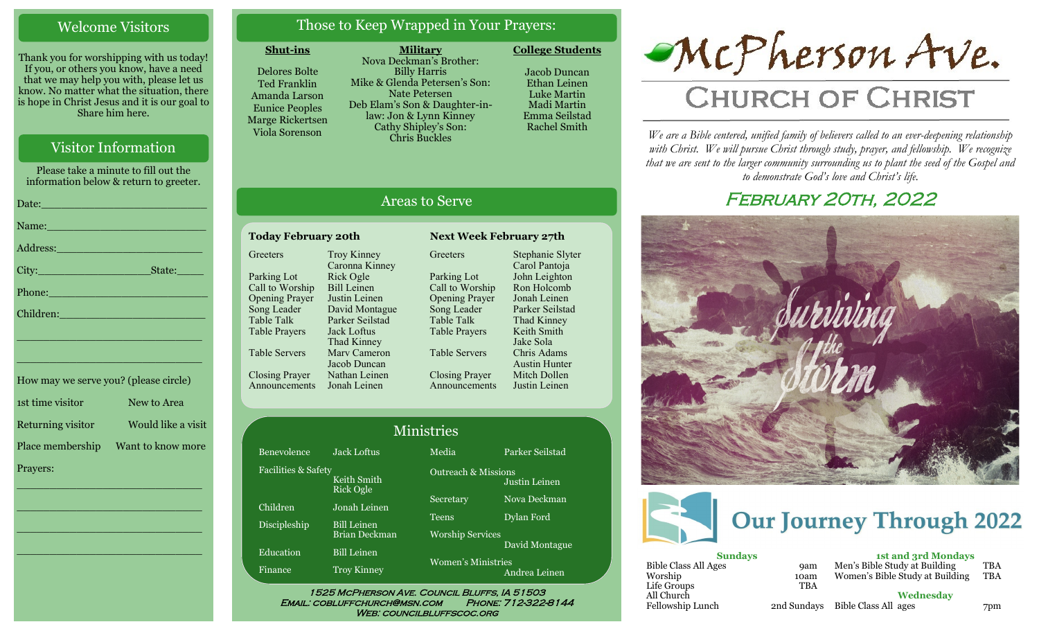## Welcome Visitors

Thank you for worshipping with us today! If you, or others you know, have a need that we may help you with, please let us know. No matter what the situation, there is hope in Christ Jesus and it is our goal to Share him here.

## Visitor Information

Please take a minute to fill out the information below & return to greeter.

| Name: Name and the second contract of the second contract of the second contract of the second contract of the                                                                                                                |
|-------------------------------------------------------------------------------------------------------------------------------------------------------------------------------------------------------------------------------|
|                                                                                                                                                                                                                               |
| $\textrm{City:}\_$                                                                                                                                                                                                            |
| Phone: <u>Alexander School (Alexander School)</u>                                                                                                                                                                             |
| Children: New York Children                                                                                                                                                                                                   |
| the control of the control of the control of the control of the control of the control of the control of the control of the control of the control of the control of the control of the control of the control of the control |

| How may we serve you? (please circle) |                    |
|---------------------------------------|--------------------|
| 1st time visitor                      | New to Area        |
| Returning visitor                     | Would like a visit |
| Place membership                      | Want to know more  |
| Prayers:                              |                    |

\_\_\_\_\_\_\_\_\_\_\_\_\_\_\_\_\_\_\_\_\_\_\_\_\_\_\_\_

 $\overline{\phantom{a}}$  , and the set of the set of the set of the set of the set of the set of the set of the set of the set of the set of the set of the set of the set of the set of the set of the set of the set of the set of the s

 $\overline{\phantom{a}}$  , and the set of the set of the set of the set of the set of the set of the set of the set of the set of the set of the set of the set of the set of the set of the set of the set of the set of the set of the s

\_\_\_\_\_\_\_\_\_\_\_\_\_\_\_\_\_\_\_\_\_\_\_\_\_\_\_\_

\_\_\_\_\_\_\_\_\_\_\_\_\_\_\_\_\_\_\_\_\_\_\_\_\_\_\_\_

## Those to Keep Wrapped in Your Prayers:

#### **Shut-ins**

Delores Bolte Ted Franklin Amanda Larson Eunice Peoples Marge Rickertsen Viola Sorenson

**Military** Nova Deckman's Brother: Billy Harris Mike & Glenda Petersen's Son: Nate Petersen Deb Elam's Son & Daughter-inlaw: Jon & Lynn Kinney Cathy Shipley's Son: Chris Buckles

**College Students** 

Jacob Duncan Ethan Leinen Luke Martin Madi Martin Emma Seilstad Rachel Smith

## Areas to Serve

#### **Today February 20th Next Week February 27th Greeters** Parking Lot Call to Worship Opening Prayer Song Leader Table Talk Table Prayers Table Servers Closing Prayer Announcements Jonah Leinen Troy Kinney Caronna Kinney Rick Ogle Bill Leinen Justin Leinen David Montague Parker Seilstad Jack Loftus Thad Kinney Marv Cameron Jacob Duncan Nathan Leinen

**Greeters** Parking Lot Song Leader Table Talk Table Prayers Table Servers

Call to Worship Opening Prayer Closing Prayer Announcements Stephanie Slyter Carol Pantoja John Leighton Ron Holcomb Jonah Leinen Parker Seilstad Thad Kinney Keith Smith Jake Sola Chris Adams Austin Hunter Mitch Dollen Justin Leinen

| <b>Ministries</b>   |                                            |                                         |                 |  |
|---------------------|--------------------------------------------|-----------------------------------------|-----------------|--|
| Benevolence         | Jack Loftus                                | Media                                   | Parker Seilstad |  |
| Facilities & Safety | Keith Smith<br><b>Rick Ogle</b>            | <b>Outreach &amp; Missions</b>          | Justin Leinen   |  |
| Children            | Jonah Leinen                               | Secretary                               | Nova Deckman    |  |
| <b>Discipleship</b> | <b>Bill Leinen</b><br><b>Brian Deckman</b> | <b>Teens</b><br><b>Worship Services</b> | Dylan Ford      |  |
| Education           | <b>Bill Leinen</b>                         |                                         | David Montague  |  |
| Finance             | <b>Troy Kinney</b>                         | Women's Ministries                      | Andrea Leinen   |  |

Email: cobluffchurch@msn.com Phone: 712-322-8144 WEB: COUNCILBLUFFSCOC.ORG



# **CHURCH OF CHRIST**

*We are a Bible centered, unified family of believers called to an ever-deepening relationship*  with Christ. We will pursue Christ through study, prayer, and fellowship. We recognize *that we are sent to the larger community surrounding us to plant the seed of the Gospel and to demonstrate God's love and Christ's life.*

## February 20th, 2022





| <b>Sundays</b>       |             |  |
|----------------------|-------------|--|
| Bible Class All Ages | <b>9am</b>  |  |
| Worship              | 10am        |  |
| Life Groups          | <b>TBA</b>  |  |
| All Church           |             |  |
| Fellowship Lunch     | 2nd Sundays |  |
|                      |             |  |

**1st and 3rd Mondays** Men's Bible Study at Building TBA Women's Bible Study at Building TBA

**Wednesday** Bible Class All ages 7pm